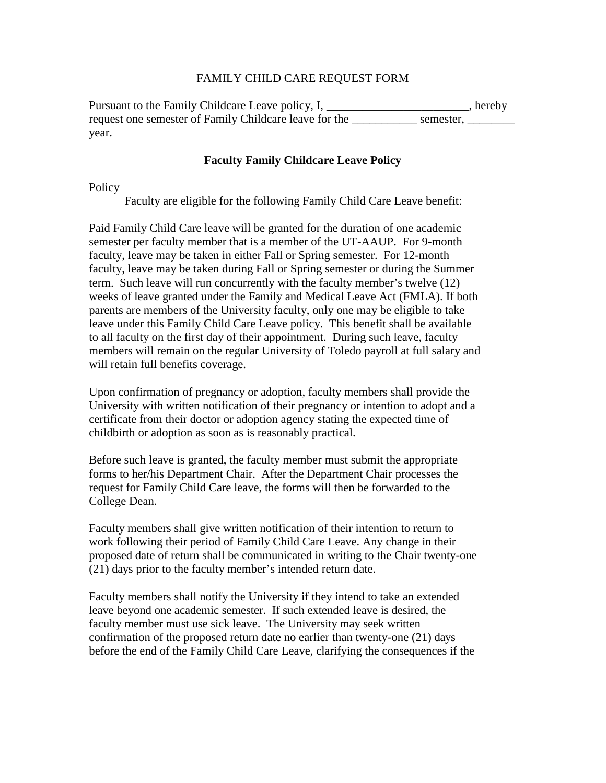## FAMILY CHILD CARE REQUEST FORM

Pursuant to the Family Childcare Leave policy, I, \_\_\_\_\_\_\_\_\_\_\_\_\_\_\_\_\_\_, hereby request one semester of Family Childcare leave for the semester, year.

## **Faculty Family Childcare Leave Policy**

**Policy** 

Faculty are eligible for the following Family Child Care Leave benefit:

Paid Family Child Care leave will be granted for the duration of one academic semester per faculty member that is a member of the UT-AAUP. For 9-month faculty, leave may be taken in either Fall or Spring semester. For 12-month faculty, leave may be taken during Fall or Spring semester or during the Summer term. Such leave will run concurrently with the faculty member's twelve (12) weeks of leave granted under the Family and Medical Leave Act (FMLA). If both parents are members of the University faculty, only one may be eligible to take leave under this Family Child Care Leave policy. This benefit shall be available to all faculty on the first day of their appointment. During such leave, faculty members will remain on the regular University of Toledo payroll at full salary and will retain full benefits coverage.

Upon confirmation of pregnancy or adoption, faculty members shall provide the University with written notification of their pregnancy or intention to adopt and a certificate from their doctor or adoption agency stating the expected time of childbirth or adoption as soon as is reasonably practical.

Before such leave is granted, the faculty member must submit the appropriate forms to her/his Department Chair. After the Department Chair processes the request for Family Child Care leave, the forms will then be forwarded to the College Dean.

Faculty members shall give written notification of their intention to return to work following their period of Family Child Care Leave. Any change in their proposed date of return shall be communicated in writing to the Chair twenty-one (21) days prior to the faculty member's intended return date.

Faculty members shall notify the University if they intend to take an extended leave beyond one academic semester. If such extended leave is desired, the faculty member must use sick leave. The University may seek written confirmation of the proposed return date no earlier than twenty-one (21) days before the end of the Family Child Care Leave, clarifying the consequences if the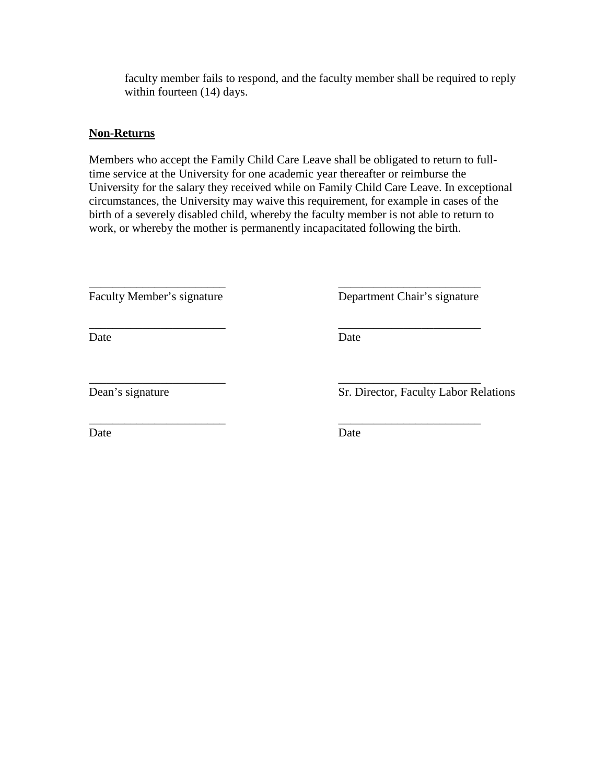faculty member fails to respond, and the faculty member shall be required to reply within fourteen (14) days.

## **Non-Returns**

Members who accept the Family Child Care Leave shall be obligated to return to fulltime service at the University for one academic year thereafter or reimburse the University for the salary they received while on Family Child Care Leave. In exceptional circumstances, the University may waive this requirement, for example in cases of the birth of a severely disabled child, whereby the faculty member is not able to return to work, or whereby the mother is permanently incapacitated following the birth.

\_\_\_\_\_\_\_\_\_\_\_\_\_\_\_\_\_\_\_\_\_\_\_ \_\_\_\_\_\_\_\_\_\_\_\_\_\_\_\_\_\_\_\_\_\_\_\_

\_\_\_\_\_\_\_\_\_\_\_\_\_\_\_\_\_\_\_\_\_\_\_ \_\_\_\_\_\_\_\_\_\_\_\_\_\_\_\_\_\_\_\_\_\_\_\_ Faculty Member's signature Department Chair's signature

Date Date Date

\_\_\_\_\_\_\_\_\_\_\_\_\_\_\_\_\_\_\_\_\_\_\_ \_\_\_\_\_\_\_\_\_\_\_\_\_\_\_\_\_\_\_\_\_\_\_\_

\_\_\_\_\_\_\_\_\_\_\_\_\_\_\_\_\_\_\_\_\_\_\_ \_\_\_\_\_\_\_\_\_\_\_\_\_\_\_\_\_\_\_\_\_\_\_\_ Dean's signature Sr. Director, Faculty Labor Relations

Date Date Date